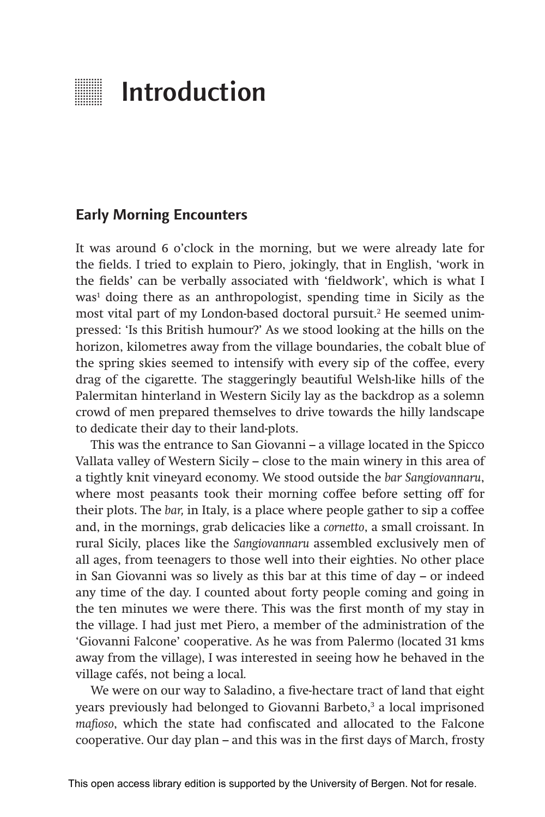# **Introduction**

## **Early Morning Encounters**

It was around 6 o'clock in the morning, but we were already late for the fields. I tried to explain to Piero, jokingly, that in English, 'work in the fields' can be verbally associated with 'fieldwork', which is what I was<sup>1</sup> doing there as an anthropologist, spending time in Sicily as the most vital part of my London-based doctoral pursuit.<sup>2</sup> He seemed unimpressed: 'Is this British humour?' As we stood looking at the hills on the horizon, kilometres away from the village boundaries, the cobalt blue of the spring skies seemed to intensify with every sip of the coffee, every drag of the cigarette. The staggeringly beautiful Welsh-like hills of the Palermitan hinterland in Western Sicily lay as the backdrop as a solemn crowd of men prepared themselves to drive towards the hilly landscape to dedicate their day to their land-plots.

This was the entrance to San Giovanni – a village located in the Spicco Vallata valley of Western Sicily – close to the main winery in this area of a tightly knit vineyard economy. We stood outside the *bar Sangiovannaru*, where most peasants took their morning coffee before setting off for their plots. The *bar,* in Italy, is a place where people gather to sip a coffee and, in the mornings, grab delicacies like a *cornetto*, a small croissant. In rural Sicily, places like the *Sangiovannaru* assembled exclusively men of all ages, from teenagers to those well into their eighties. No other place in San Giovanni was so lively as this bar at this time of day – or indeed any time of the day. I counted about forty people coming and going in the ten minutes we were there. This was the first month of my stay in the village. I had just met Piero, a member of the administration of the 'Giovanni Falcone' cooperative. As he was from Palermo (located 31 kms away from the village), I was interested in seeing how he behaved in the village cafés, not being a local*.*

We were on our way to Saladino, a five-hectare tract of land that eight years previously had belonged to Giovanni Barbeto,<sup>3</sup> a local imprisoned *mafioso*, which the state had confiscated and allocated to the Falcone cooperative. Our day plan – and this was in the first days of March, frosty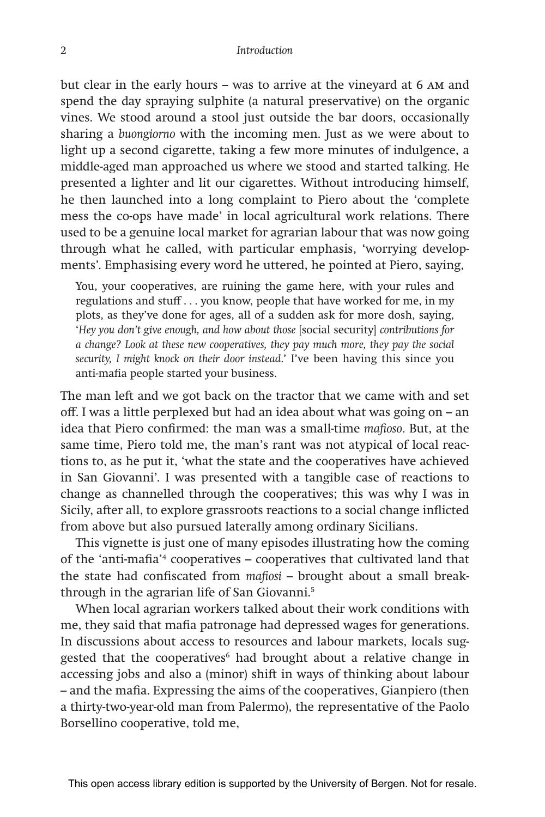but clear in the early hours – was to arrive at the vineyard at 6 am and spend the day spraying sulphite (a natural preservative) on the organic vines. We stood around a stool just outside the bar doors, occasionally sharing a *buongiorno* with the incoming men. Just as we were about to light up a second cigarette, taking a few more minutes of indulgence, a middle-aged man approached us where we stood and started talking. He presented a lighter and lit our cigarettes. Without introducing himself, he then launched into a long complaint to Piero about the 'complete mess the co-ops have made' in local agricultural work relations. There used to be a genuine local market for agrarian labour that was now going through what he called, with particular emphasis, 'worrying developments'. Emphasising every word he uttered, he pointed at Piero, saying,

You, your cooperatives, are ruining the game here, with your rules and regulations and stuff . . . you know, people that have worked for me, in my plots, as they've done for ages, all of a sudden ask for more dosh, saying, '*Hey you don't give enough, and how about those* [social security] *contributions for a change? Look at these new cooperatives, they pay much more, they pay the social security, I might knock on their door instead*.' I've been having this since you anti-mafia people started your business.

The man left and we got back on the tractor that we came with and set off. I was a little perplexed but had an idea about what was going on – an idea that Piero confirmed: the man was a small-time *mafioso*. But, at the same time, Piero told me, the man's rant was not atypical of local reactions to, as he put it, 'what the state and the cooperatives have achieved in San Giovanni'. I was presented with a tangible case of reactions to change as channelled through the cooperatives; this was why I was in Sicily, after all, to explore grassroots reactions to a social change inflicted from above but also pursued laterally among ordinary Sicilians.

This vignette is just one of many episodes illustrating how the coming of the 'anti-mafia'4 cooperatives – cooperatives that cultivated land that the state had confiscated from *mafiosi –* brought about a small breakthrough in the agrarian life of San Giovanni.5

When local agrarian workers talked about their work conditions with me, they said that mafia patronage had depressed wages for generations. In discussions about access to resources and labour markets, locals suggested that the cooperatives<sup>6</sup> had brought about a relative change in accessing jobs and also a (minor) shift in ways of thinking about labour – and the mafia. Expressing the aims of the cooperatives, Gianpiero (then a thirty-two-year-old man from Palermo), the representative of the Paolo Borsellino cooperative, told me,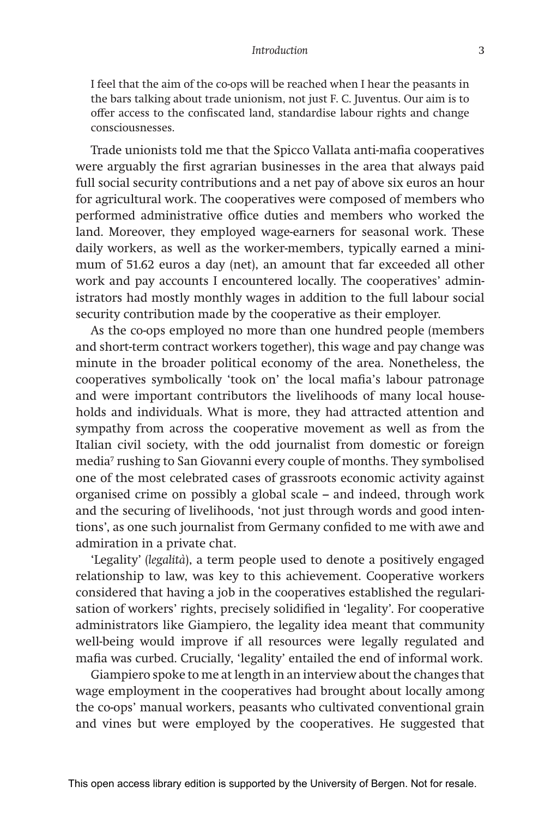I feel that the aim of the co-ops will be reached when I hear the peasants in the bars talking about trade unionism, not just F. C. Juventus. Our aim is to offer access to the confiscated land, standardise labour rights and change consciousnesses.

Trade unionists told me that the Spicco Vallata anti-mafia cooperatives were arguably the first agrarian businesses in the area that always paid full social security contributions and a net pay of above six euros an hour for agricultural work. The cooperatives were composed of members who performed administrative office duties and members who worked the land. Moreover, they employed wage-earners for seasonal work. These daily workers, as well as the worker-members, typically earned a minimum of 51.62 euros a day (net), an amount that far exceeded all other work and pay accounts I encountered locally. The cooperatives' administrators had mostly monthly wages in addition to the full labour social security contribution made by the cooperative as their employer.

As the co-ops employed no more than one hundred people (members and short-term contract workers together), this wage and pay change was minute in the broader political economy of the area. Nonetheless, the cooperatives symbolically 'took on' the local mafia's labour patronage and were important contributors the livelihoods of many local households and individuals. What is more, they had attracted attention and sympathy from across the cooperative movement as well as from the Italian civil society, with the odd journalist from domestic or foreign media7 rushing to San Giovanni every couple of months. They symbolised one of the most celebrated cases of grassroots economic activity against organised crime on possibly a global scale – and indeed, through work and the securing of livelihoods, 'not just through words and good intentions', as one such journalist from Germany confided to me with awe and admiration in a private chat.

'Legality' (*legalità*), a term people used to denote a positively engaged relationship to law, was key to this achievement. Cooperative workers considered that having a job in the cooperatives established the regularisation of workers' rights, precisely solidified in 'legality'. For cooperative administrators like Giampiero, the legality idea meant that community well-being would improve if all resources were legally regulated and mafia was curbed. Crucially, 'legality' entailed the end of informal work.

Giampiero spoke to me at length in an interview about the changes that wage employment in the cooperatives had brought about locally among the co-ops' manual workers, peasants who cultivated conventional grain and vines but were employed by the cooperatives. He suggested that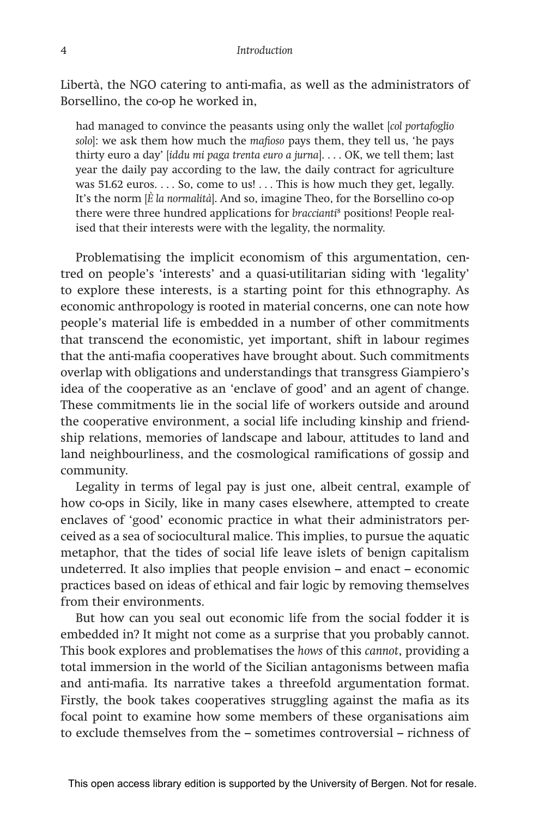Libertà, the NGO catering to anti-mafia, as well as the administrators of Borsellino, the co-op he worked in,

had managed to convince the peasants using only the wallet [*col portafoglio solo*]: we ask them how much the *mafioso* pays them, they tell us, 'he pays thirty euro a day' [*iddu mi paga trenta euro a jurna*]. . . . OK, we tell them; last year the daily pay according to the law, the daily contract for agriculture was  $51.62$  euros.  $\dots$  So, come to us!  $\dots$  This is how much they get, legally. It's the norm [*È la normalità*]. And so, imagine Theo, for the Borsellino co-op there were three hundred applications for *braccianti*<sup>8</sup> positions! People realised that their interests were with the legality, the normality.

Problematising the implicit economism of this argumentation, centred on people's 'interests' and a quasi-utilitarian siding with 'legality' to explore these interests, is a starting point for this ethnography. As economic anthropology is rooted in material concerns, one can note how people's material life is embedded in a number of other commitments that transcend the economistic, yet important, shift in labour regimes that the anti-mafia cooperatives have brought about. Such commitments overlap with obligations and understandings that transgress Giampiero's idea of the cooperative as an 'enclave of good' and an agent of change. These commitments lie in the social life of workers outside and around the cooperative environment, a social life including kinship and friendship relations, memories of landscape and labour, attitudes to land and land neighbourliness, and the cosmological ramifications of gossip and community.

Legality in terms of legal pay is just one, albeit central, example of how co-ops in Sicily, like in many cases elsewhere, attempted to create enclaves of 'good' economic practice in what their administrators perceived as a sea of sociocultural malice. This implies, to pursue the aquatic metaphor, that the tides of social life leave islets of benign capitalism undeterred. It also implies that people envision – and enact – economic practices based on ideas of ethical and fair logic by removing themselves from their environments.

But how can you seal out economic life from the social fodder it is embedded in? It might not come as a surprise that you probably cannot. This book explores and problematises the *hows* of this *cannot*, providing a total immersion in the world of the Sicilian antagonisms between mafia and anti-mafia. Its narrative takes a threefold argumentation format. Firstly, the book takes cooperatives struggling against the mafia as its focal point to examine how some members of these organisations aim to exclude themselves from the – sometimes controversial – richness of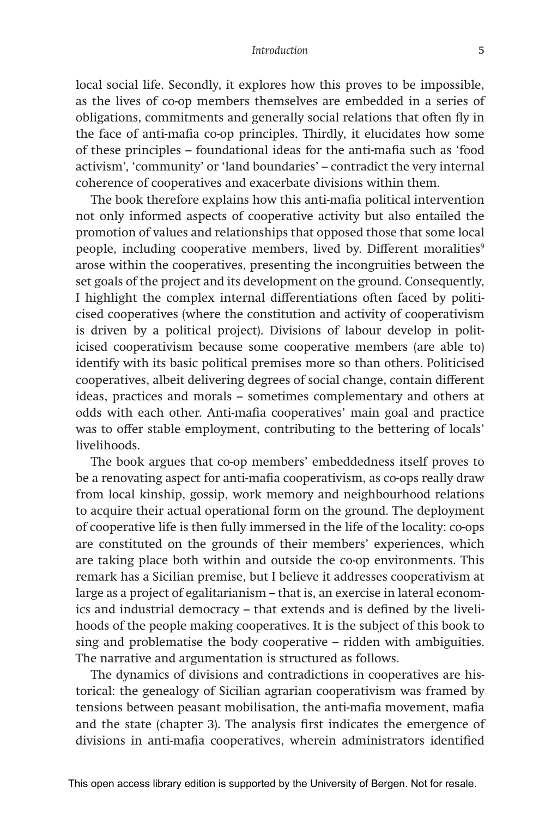#### *Introduction* 5

local social life. Secondly, it explores how this proves to be impossible, as the lives of co-op members themselves are embedded in a series of obligations, commitments and generally social relations that often fly in the face of anti-mafia co-op principles. Thirdly, it elucidates how some of these principles – foundational ideas for the anti-mafia such as 'food activism', 'community' or 'land boundaries' – contradict the very internal coherence of cooperatives and exacerbate divisions within them.

The book therefore explains how this anti-mafia political intervention not only informed aspects of cooperative activity but also entailed the promotion of values and relationships that opposed those that some local people, including cooperative members, lived by. Different moralities<sup>9</sup> arose within the cooperatives, presenting the incongruities between the set goals of the project and its development on the ground. Consequently, I highlight the complex internal differentiations often faced by politicised cooperatives (where the constitution and activity of cooperativism is driven by a political project). Divisions of labour develop in politicised cooperativism because some cooperative members (are able to) identify with its basic political premises more so than others. Politicised cooperatives, albeit delivering degrees of social change, contain different ideas, practices and morals – sometimes complementary and others at odds with each other. Anti-mafia cooperatives' main goal and practice was to offer stable employment, contributing to the bettering of locals' livelihoods.

The book argues that co-op members' embeddedness itself proves to be a renovating aspect for anti-mafia cooperativism, as co-ops really draw from local kinship, gossip, work memory and neighbourhood relations to acquire their actual operational form on the ground. The deployment of cooperative life is then fully immersed in the life of the locality: co-ops are constituted on the grounds of their members' experiences, which are taking place both within and outside the co-op environments. This remark has a Sicilian premise, but I believe it addresses cooperativism at large as a project of egalitarianism – that is, an exercise in lateral economics and industrial democracy – that extends and is defined by the livelihoods of the people making cooperatives. It is the subject of this book to sing and problematise the body cooperative – ridden with ambiguities. The narrative and argumentation is structured as follows.

The dynamics of divisions and contradictions in cooperatives are historical: the genealogy of Sicilian agrarian cooperativism was framed by tensions between peasant mobilisation, the anti-mafia movement, mafia and the state (chapter 3). The analysis first indicates the emergence of divisions in anti-mafia cooperatives, wherein administrators identified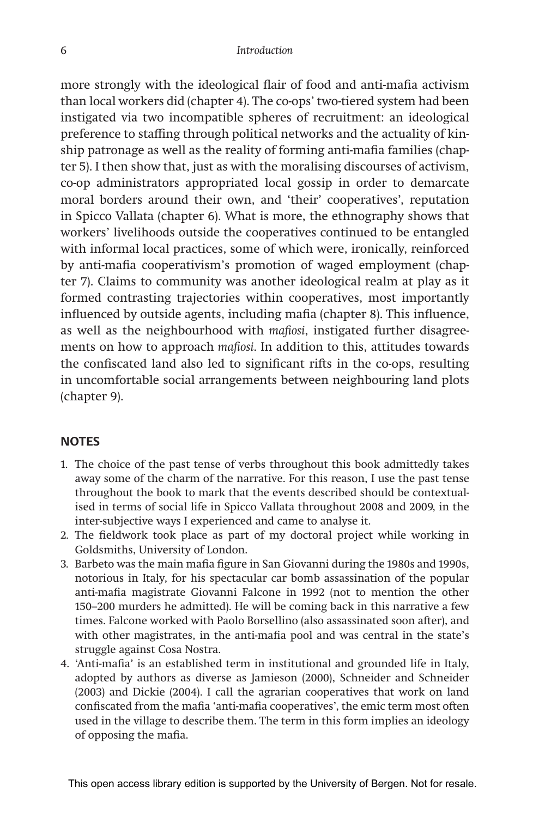more strongly with the ideological flair of food and anti-mafia activism than local workers did (chapter 4). The co-ops' two-tiered system had been instigated via two incompatible spheres of recruitment: an ideological preference to staffing through political networks and the actuality of kinship patronage as well as the reality of forming anti-mafia families (chapter 5). I then show that, just as with the moralising discourses of activism, co-op administrators appropriated local gossip in order to demarcate moral borders around their own, and 'their' cooperatives', reputation in Spicco Vallata (chapter 6). What is more, the ethnography shows that workers' livelihoods outside the cooperatives continued to be entangled with informal local practices, some of which were, ironically, reinforced by anti-mafia cooperativism's promotion of waged employment (chapter 7). Claims to community was another ideological realm at play as it formed contrasting trajectories within cooperatives, most importantly influenced by outside agents, including mafia (chapter 8). This influence, as well as the neighbourhood with *mafiosi*, instigated further disagreements on how to approach *mafiosi*. In addition to this, attitudes towards the confiscated land also led to significant rifts in the co-ops, resulting in uncomfortable social arrangements between neighbouring land plots (chapter 9).

### **NOTES**

- 1. The choice of the past tense of verbs throughout this book admittedly takes away some of the charm of the narrative. For this reason, I use the past tense throughout the book to mark that the events described should be contextualised in terms of social life in Spicco Vallata throughout 2008 and 2009, in the inter-subjective ways I experienced and came to analyse it.
- 2. The fieldwork took place as part of my doctoral project while working in Goldsmiths, University of London.
- 3. Barbeto was the main mafia figure in San Giovanni during the 1980s and 1990s, notorious in Italy, for his spectacular car bomb assassination of the popular anti-mafia magistrate Giovanni Falcone in 1992 (not to mention the other 150–200 murders he admitted). He will be coming back in this narrative a few times. Falcone worked with Paolo Borsellino (also assassinated soon after), and with other magistrates, in the anti-mafia pool and was central in the state's struggle against Cosa Nostra.
- 4. 'Anti-mafia' is an established term in institutional and grounded life in Italy, adopted by authors as diverse as Jamieson (2000), Schneider and Schneider (2003) and Dickie (2004). I call the agrarian cooperatives that work on land confiscated from the mafia 'anti-mafia cooperatives', the emic term most often used in the village to describe them. The term in this form implies an ideology of opposing the mafia.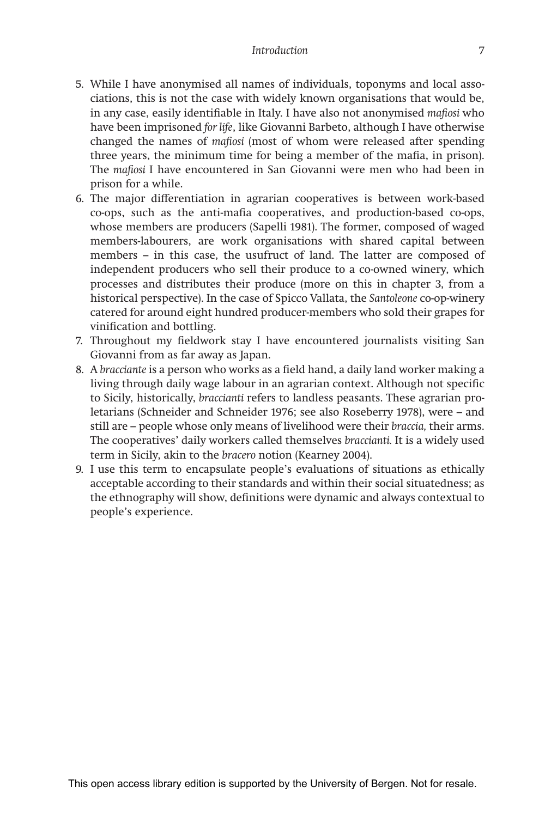#### *Introduction* 7

- 5. While I have anonymised all names of individuals, toponyms and local associations, this is not the case with widely known organisations that would be, in any case, easily identifiable in Italy. I have also not anonymised *mafiosi* who have been imprisoned *for life*, like Giovanni Barbeto, although I have otherwise changed the names of *mafiosi* (most of whom were released after spending three years, the minimum time for being a member of the mafia, in prison). The *mafiosi* I have encountered in San Giovanni were men who had been in prison for a while.
- 6. The major differentiation in agrarian cooperatives is between work-based co-ops, such as the anti-mafia cooperatives, and production-based co-ops, whose members are producers (Sapelli 1981). The former, composed of waged members-labourers, are work organisations with shared capital between members – in this case, the usufruct of land. The latter are composed of independent producers who sell their produce to a co-owned winery, which processes and distributes their produce (more on this in chapter 3, from a historical perspective). In the case of Spicco Vallata, the *Santoleone* co-op-winery catered for around eight hundred producer-members who sold their grapes for vinification and bottling.
- 7. Throughout my fieldwork stay I have encountered journalists visiting San Giovanni from as far away as Japan.
- 8. A *bracciante* is a person who works as a field hand, a daily land worker making a living through daily wage labour in an agrarian context. Although not specific to Sicily, historically, *braccianti* refers to landless peasants. These agrarian proletarians (Schneider and Schneider 1976; see also Roseberry 1978), were – and still are – people whose only means of livelihood were their *braccia,* their arms. The cooperatives' daily workers called themselves *braccianti.* It is a widely used term in Sicily, akin to the *bracero* notion (Kearney 2004).
- 9. I use this term to encapsulate people's evaluations of situations as ethically acceptable according to their standards and within their social situatedness; as the ethnography will show, definitions were dynamic and always contextual to people's experience.